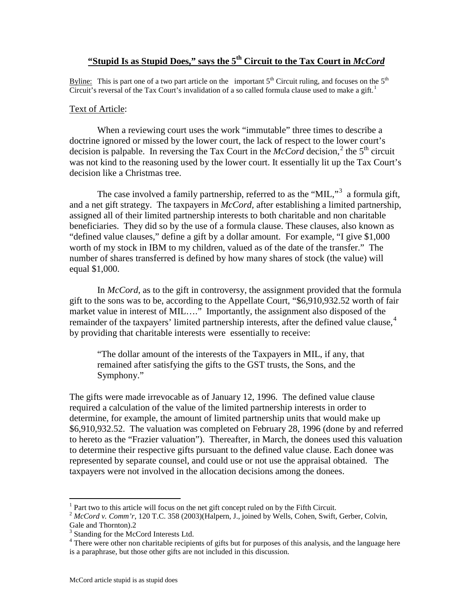## **"Stupid Is as Stupid Does," says the 5<sup>th</sup> Circuit to the Tax Court in** *McCord*

Byline: This is part one of a two part article on the important  $5<sup>th</sup>$  Circuit ruling, and focuses on the  $5<sup>th</sup>$ Circuit's reversal of the Tax Court's invalidation of a so called formula clause used to make a gift.<sup>[1](#page-0-0)</sup>

## Text of Article:

When a reviewing court uses the work "immutable" three times to describe a doctrine ignored or missed by the lower court, the lack of respect to the lower court's decision is palpable. In reversing the Tax Court in the  $McCord$  decision,<sup>[2](#page-0-1)</sup> the 5<sup>th</sup> circuit was not kind to the reasoning used by the lower court. It essentially lit up the Tax Court's decision like a Christmas tree.

The case involved a family partnership, referred to as the "MIL,"<sup>[3](#page-0-2)</sup> a formula gift, and a net gift strategy. The taxpayers in *McCord,* after establishing a limited partnership, assigned all of their limited partnership interests to both charitable and non charitable beneficiaries. They did so by the use of a formula clause. These clauses, also known as "defined value clauses," define a gift by a dollar amount. For example, "I give \$1,000 worth of my stock in IBM to my children, valued as of the date of the transfer." The number of shares transferred is defined by how many shares of stock (the value) will equal \$1,000.

In *McCord*, as to the gift in controversy, the assignment provided that the formula gift to the sons was to be, according to the Appellate Court, "\$6,910,932.52 worth of fair market value in interest of MIL…." Importantly, the assignment also disposed of the remainder of the taxpayers' limited partnership interests, after the defined value clause,<sup>[4](#page-0-3)</sup> by providing that charitable interests were essentially to receive:

"The dollar amount of the interests of the Taxpayers in MIL, if any, that remained after satisfying the gifts to the GST trusts, the Sons, and the Symphony."

The gifts were made irrevocable as of January 12, 1996. The defined value clause required a calculation of the value of the limited partnership interests in order to determine, for example, the amount of limited partnership units that would make up \$6,910,932.52. The valuation was completed on February 28, 1996 (done by and referred to hereto as the "Frazier valuation"). Thereafter, in March, the donees used this valuation to determine their respective gifts pursuant to the defined value clause. Each donee was represented by separate counsel, and could use or not use the appraisal obtained. The taxpayers were not involved in the allocation decisions among the donees.

 $\overline{a}$ 

 $<sup>1</sup>$  Part two to this article will focus on the net gift concept ruled on by the Fifth Circuit.</sup>

<span id="page-0-1"></span><span id="page-0-0"></span><sup>2</sup> *McCord v. Comm'r*, 120 T.C. 358 (2003)(Halpern, J., joined by Wells, Cohen, Swift, Gerber, Colvin, Gale and Thornton).2

<sup>&</sup>lt;sup>3</sup> Standing for the McCord Interests Ltd.

<span id="page-0-3"></span><span id="page-0-2"></span><sup>&</sup>lt;sup>4</sup> There were other non charitable recipients of gifts but for purposes of this analysis, and the language here is a paraphrase, but those other gifts are not included in this discussion.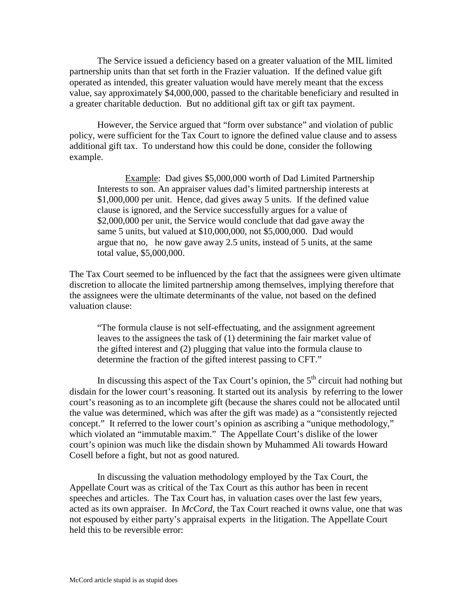The Service issued a deficiency based on a greater valuation of the MIL limited partnership units than that set forth in the Frazier valuation. If the defined value gift operated as intended, this greater valuation would have merely meant that the excess value, say approximately \$4,000,000, passed to the charitable beneficiary and resulted in a greater charitable deduction. But no additional gift tax or gift tax payment.

However, the Service argued that "form over substance" and violation of public policy, were sufficient for the Tax Court to ignore the defined value clause and to assess additional gift tax. To understand how this could be done, consider the following example.

Example: Dad gives \$5,000,000 worth of Dad Limited Partnership Interests to son. An appraiser values dad's limited partnership interests at \$1,000,000 per unit. Hence, dad gives away 5 units. If the defined value clause is ignored, and the Service successfully argues for a value of \$2,000,000 per unit, the Service would conclude that dad gave away the same 5 units, but valued at \$10,000,000, not \$5,000,000. Dad would argue that no, he now gave away 2.5 units, instead of 5 units, at the same total value, \$5,000,000.

The Tax Court seemed to be influenced by the fact that the assignees were given ultimate discretion to allocate the limited partnership among themselves, implying therefore that the assignees were the ultimate determinants of the value, not based on the defined valuation clause:

"The formula clause is not self-effectuating, and the assignment agreement leaves to the assignees the task of (1) determining the fair market value of the gifted interest and (2) plugging that value into the formula clause to determine the fraction of the gifted interest passing to CFT."

In discussing this aspect of the Tax Court's opinion, the  $5<sup>th</sup>$  circuit had nothing but disdain for the lower court's reasoning. It started out its analysis by referring to the lower court's reasoning as to an incomplete gift (because the shares could not be allocated until the value was determined, which was after the gift was made) as a "consistently rejected concept." It referred to the lower court's opinion as ascribing a "unique methodology," which violated an "immutable maxim." The Appellate Court's dislike of the lower court's opinion was much like the disdain shown by Muhammed Ali towards Howard Cosell before a fight, but not as good natured.

In discussing the valuation methodology employed by the Tax Court, the Appellate Court was as critical of the Tax Court as this author has been in recent speeches and articles. The Tax Court has, in valuation cases over the last few years, acted as its own appraiser. In *McCord*, the Tax Court reached it owns value, one that was not espoused by either party's appraisal experts in the litigation. The Appellate Court held this to be reversible error: